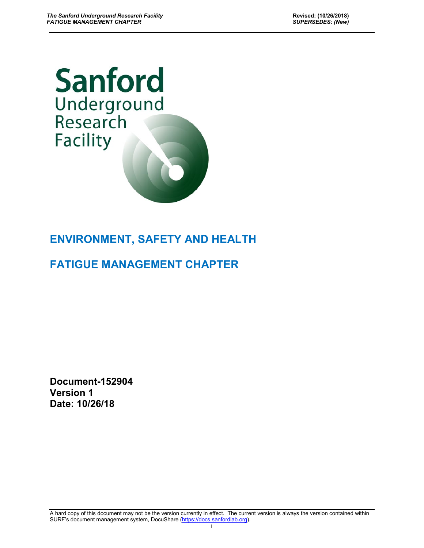# **Sanford** Underground<br>Research **Facility**

# **ENVIRONMENT, SAFETY AND HEALTH**

# **FATIGUE MANAGEMENT CHAPTER**

**Document-152904 Version 1 Date: 10/26/18**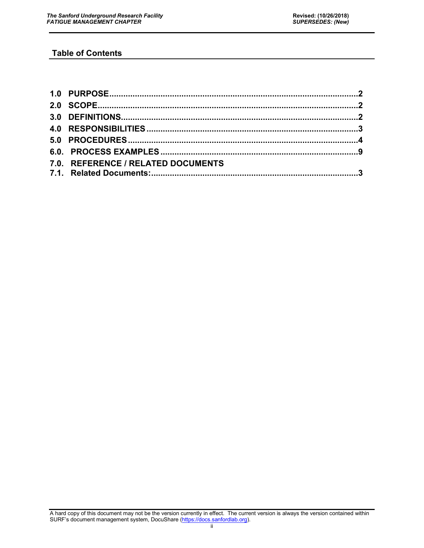# **Table of Contents**

| 7.0. REFERENCE / RELATED DOCUMENTS |  |
|------------------------------------|--|
|                                    |  |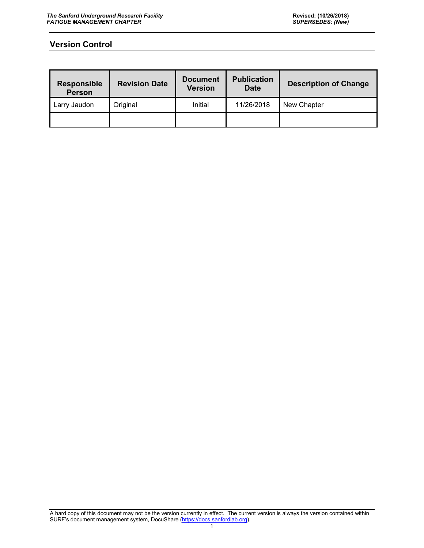# **Version Control**

| Responsible<br><b>Person</b> | <b>Revision Date</b> | <b>Document</b><br><b>Version</b> | <b>Publication</b><br><b>Date</b> | <b>Description of Change</b> |  |  |  |  |
|------------------------------|----------------------|-----------------------------------|-----------------------------------|------------------------------|--|--|--|--|
| Larry Jaudon                 | Original             | Initial                           | 11/26/2018                        | New Chapter                  |  |  |  |  |
|                              |                      |                                   |                                   |                              |  |  |  |  |

A hard copy of this document may not be the version currently in effect. The current version is always the version contained within SURF's document management system, DocuShare [\(https://docs.sanfordlab.org\)](https://docs.sanfordlab.org/).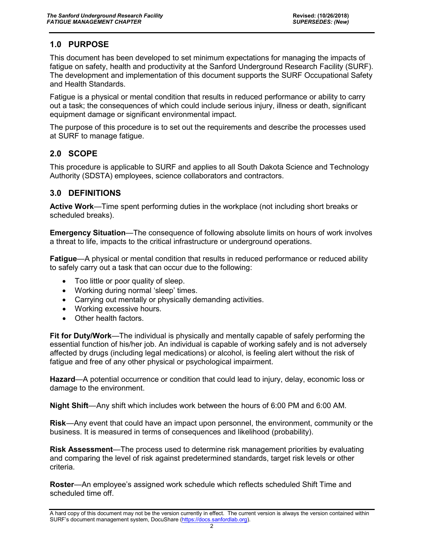# <span id="page-3-0"></span>**1.0 PURPOSE**

This document has been developed to set minimum expectations for managing the impacts of fatigue on safety, health and productivity at the Sanford Underground Research Facility (SURF). The development and implementation of this document supports the SURF Occupational Safety and Health Standards.

Fatigue is a physical or mental condition that results in reduced performance or ability to carry out a task; the consequences of which could include serious injury, illness or death, significant equipment damage or significant environmental impact.

The purpose of this procedure is to set out the requirements and describe the processes used at SURF to manage fatigue.

# <span id="page-3-1"></span>**2.0 SCOPE**

This procedure is applicable to SURF and applies to all South Dakota Science and Technology Authority (SDSTA) employees, science collaborators and contractors.

# <span id="page-3-2"></span>**3.0 DEFINITIONS**

**Active Work**—Time spent performing duties in the workplace (not including short breaks or scheduled breaks).

**Emergency Situation**—The consequence of following absolute limits on hours of work involves a threat to life, impacts to the critical infrastructure or underground operations.

**Fatigue**—A physical or mental condition that results in reduced performance or reduced ability to safely carry out a task that can occur due to the following:

- Too little or poor quality of sleep.
- Working during normal 'sleep' times.
- Carrying out mentally or physically demanding activities.
- Working excessive hours.
- Other health factors.

**Fit for Duty/Work**—The individual is physically and mentally capable of safely performing the essential function of his/her job. An individual is capable of working safely and is not adversely affected by drugs (including legal medications) or alcohol, is feeling alert without the risk of fatigue and free of any other physical or psychological impairment.

**Hazard**—A potential occurrence or condition that could lead to injury, delay, economic loss or damage to the environment.

**Night Shift**—Any shift which includes work between the hours of 6:00 PM and 6:00 AM.

**Risk**—Any event that could have an impact upon personnel, the environment, community or the business. It is measured in terms of consequences and likelihood (probability).

**Risk Assessment**—The process used to determine risk management priorities by evaluating and comparing the level of risk against predetermined standards, target risk levels or other criteria.

**Roster**—An employee's assigned work schedule which reflects scheduled Shift Time and scheduled time off.

A hard copy of this document may not be the version currently in effect. The current version is always the version contained within SURF's document management system, DocuShare [\(https://docs.sanfordlab.org\)](https://docs.sanfordlab.org/).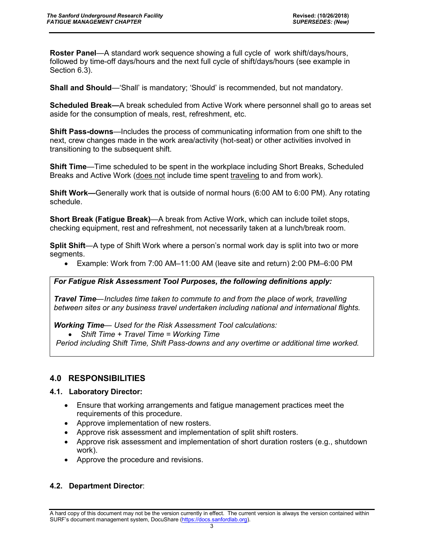**Roster Panel**—A standard work sequence showing a full cycle of work shift/days/hours, followed by time-off days/hours and the next full cycle of shift/days/hours (see example in Section 6.3).

**Shall and Should**—'Shall' is mandatory; 'Should' is recommended, but not mandatory.

**Scheduled Break—**A break scheduled from Active Work where personnel shall go to areas set aside for the consumption of meals, rest, refreshment, etc.

**Shift Pass-downs**—Includes the process of communicating information from one shift to the next, crew changes made in the work area/activity (hot-seat) or other activities involved in transitioning to the subsequent shift.

**Shift Time**—Time scheduled to be spent in the workplace including Short Breaks, Scheduled Breaks and Active Work (does not include time spent traveling to and from work).

**Shift Work—**Generally work that is outside of normal hours (6:00 AM to 6:00 PM). Any rotating schedule.

**Short Break (Fatigue Break)**—A break from Active Work, which can include toilet stops, checking equipment, rest and refreshment, not necessarily taken at a lunch/break room.

**Split Shift**—A type of Shift Work where a person's normal work day is split into two or more segments.

• Example: Work from 7:00 AM–11:00 AM (leave site and return) 2:00 PM–6:00 PM

# *For Fatigue Risk Assessment Tool Purposes, the following definitions apply:*

*Travel Time—Includes time taken to commute to and from the place of work, travelling between sites or any business travel undertaken including national and international flights.*

*Working Time— Used for the Risk Assessment Tool calculations:*

• *Shift Time + Travel Time = Working Time*

*Period including Shift Time, Shift Pass-downs and any overtime or additional time worked.*

# <span id="page-4-0"></span>**4.0 RESPONSIBILITIES**

#### **4.1. Laboratory Director:**

- Ensure that working arrangements and fatigue management practices meet the requirements of this procedure.
- Approve implementation of new rosters.
- Approve risk assessment and implementation of split shift rosters.
- Approve risk assessment and implementation of short duration rosters (e.g., shutdown work).
- Approve the procedure and revisions.

# **4.2. Department Director**: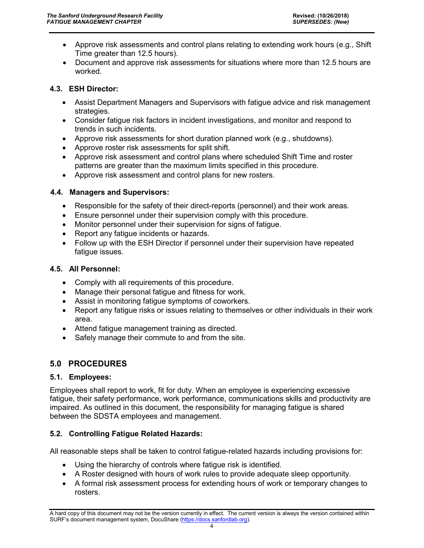- Approve risk assessments and control plans relating to extending work hours (e.g., Shift Time greater than 12.5 hours).
- Document and approve risk assessments for situations where more than 12.5 hours are worked.

#### **4.3. ESH Director:**

- Assist Department Managers and Supervisors with fatigue advice and risk management strategies.
- Consider fatigue risk factors in incident investigations, and monitor and respond to trends in such incidents.
- Approve risk assessments for short duration planned work (e.g., shutdowns).
- Approve roster risk assessments for split shift.
- Approve risk assessment and control plans where scheduled Shift Time and roster patterns are greater than the maximum limits specified in this procedure.
- Approve risk assessment and control plans for new rosters.

#### **4.4. Managers and Supervisors:**

- Responsible for the safety of their direct-reports (personnel) and their work areas.
- Ensure personnel under their supervision comply with this procedure.
- Monitor personnel under their supervision for signs of fatigue.
- Report any fatigue incidents or hazards.
- Follow up with the ESH Director if personnel under their supervision have repeated fatigue issues.

#### **4.5. All Personnel:**

- Comply with all requirements of this procedure.
- Manage their personal fatigue and fitness for work.
- Assist in monitoring fatigue symptoms of coworkers.
- Report any fatigue risks or issues relating to themselves or other individuals in their work area.
- Attend fatigue management training as directed.
- Safely manage their commute to and from the site.

# <span id="page-5-0"></span>**5.0 PROCEDURES**

#### **5.1. Employees:**

Employees shall report to work, fit for duty. When an employee is experiencing excessive fatigue, their safety performance, work performance, communications skills and productivity are impaired. As outlined in this document, the responsibility for managing fatigue is shared between the SDSTA employees and management.

# **5.2. Controlling Fatigue Related Hazards:**

All reasonable steps shall be taken to control fatigue-related hazards including provisions for:

- Using the hierarchy of controls where fatigue risk is identified.
- A Roster designed with hours of work rules to provide adequate sleep opportunity.
- A formal risk assessment process for extending hours of work or temporary changes to rosters.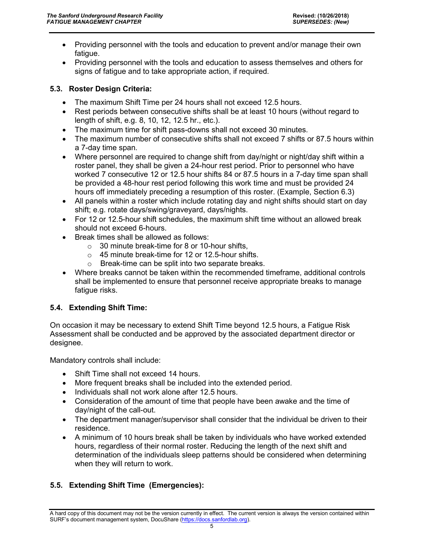- Providing personnel with the tools and education to prevent and/or manage their own fatigue.
- Providing personnel with the tools and education to assess themselves and others for signs of fatigue and to take appropriate action, if required.

# **5.3. Roster Design Criteria:**

- The maximum Shift Time per 24 hours shall not exceed 12.5 hours.
- Rest periods between consecutive shifts shall be at least 10 hours (without regard to length of shift, e.g. 8, 10, 12, 12.5 hr., etc.).
- The maximum time for shift pass-downs shall not exceed 30 minutes.
- The maximum number of consecutive shifts shall not exceed 7 shifts or 87.5 hours within a 7-day time span.
- Where personnel are required to change shift from day/night or night/day shift within a roster panel, they shall be given a 24-hour rest period. Prior to personnel who have worked 7 consecutive 12 or 12.5 hour shifts 84 or 87.5 hours in a 7-day time span shall be provided a 48-hour rest period following this work time and must be provided 24 hours off immediately preceding a resumption of this roster. (Example, Section 6.3)
- All panels within a roster which include rotating day and night shifts should start on day shift; e.g. rotate days/swing/graveyard, days/nights.
- For 12 or 12.5-hour shift schedules, the maximum shift time without an allowed break should not exceed 6-hours.
- Break times shall be allowed as follows:
	- $\circ$  30 minute break-time for 8 or 10-hour shifts.
	- o 45 minute break-time for 12 or 12.5-hour shifts.
	- o Break-time can be split into two separate breaks.
- Where breaks cannot be taken within the recommended timeframe, additional controls shall be implemented to ensure that personnel receive appropriate breaks to manage fatigue risks.

# **5.4. Extending Shift Time:**

On occasion it may be necessary to extend Shift Time beyond 12.5 hours, a Fatigue Risk Assessment shall be conducted and be approved by the associated department director or designee.

Mandatory controls shall include:

- Shift Time shall not exceed 14 hours.
- More frequent breaks shall be included into the extended period.
- Individuals shall not work alone after 12.5 hours.
- Consideration of the amount of time that people have been awake and the time of day/night of the call-out.
- The department manager/supervisor shall consider that the individual be driven to their residence.
- A minimum of 10 hours break shall be taken by individuals who have worked extended hours, regardless of their normal roster. Reducing the length of the next shift and determination of the individuals sleep patterns should be considered when determining when they will return to work.

# **5.5. Extending Shift Time (Emergencies):**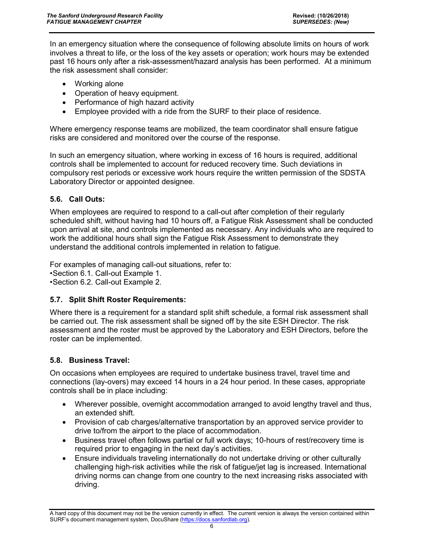In an emergency situation where the consequence of following absolute limits on hours of work involves a threat to life, or the loss of the key assets or operation; work hours may be extended past 16 hours only after a risk-assessment/hazard analysis has been performed. At a minimum the risk assessment shall consider:

- Working alone
- Operation of heavy equipment.
- Performance of high hazard activity
- Employee provided with a ride from the SURF to their place of residence.

Where emergency response teams are mobilized, the team coordinator shall ensure fatigue risks are considered and monitored over the course of the response.

In such an emergency situation, where working in excess of 16 hours is required, additional controls shall be implemented to account for reduced recovery time. Such deviations in compulsory rest periods or excessive work hours require the written permission of the SDSTA Laboratory Director or appointed designee.

#### **5.6. Call Outs:**

When employees are required to respond to a call-out after completion of their regularly scheduled shift, without having had 10 hours off, a Fatigue Risk Assessment shall be conducted upon arrival at site, and controls implemented as necessary. Any individuals who are required to work the additional hours shall sign the Fatigue Risk Assessment to demonstrate they understand the additional controls implemented in relation to fatigue.

For examples of managing call-out situations, refer to:

•Section 6.1. Call-out Example 1.

•Section 6.2. Call-out Example 2.

#### **5.7. Split Shift Roster Requirements:**

Where there is a requirement for a standard split shift schedule, a formal risk assessment shall be carried out. The risk assessment shall be signed off by the site ESH Director. The risk assessment and the roster must be approved by the Laboratory and ESH Directors, before the roster can be implemented.

#### **5.8. Business Travel:**

On occasions when employees are required to undertake business travel, travel time and connections (lay-overs) may exceed 14 hours in a 24 hour period. In these cases, appropriate controls shall be in place including:

- Wherever possible, overnight accommodation arranged to avoid lengthy travel and thus, an extended shift.
- Provision of cab charges/alternative transportation by an approved service provider to drive to/from the airport to the place of accommodation.
- Business travel often follows partial or full work days; 10-hours of rest/recovery time is required prior to engaging in the next day's activities.
- Ensure individuals traveling internationally do not undertake driving or other culturally challenging high-risk activities while the risk of fatigue/jet lag is increased. International driving norms can change from one country to the next increasing risks associated with driving.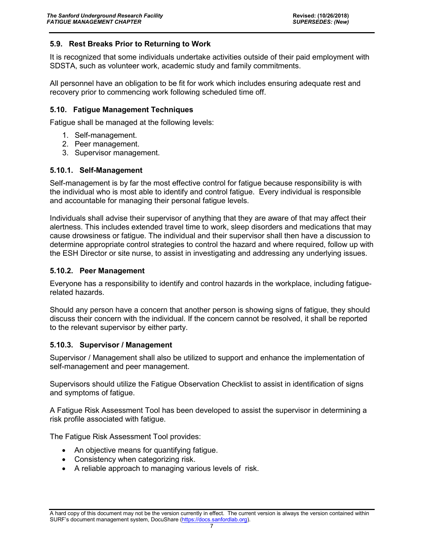#### **5.9. Rest Breaks Prior to Returning to Work**

It is recognized that some individuals undertake activities outside of their paid employment with SDSTA, such as volunteer work, academic study and family commitments.

All personnel have an obligation to be fit for work which includes ensuring adequate rest and recovery prior to commencing work following scheduled time off.

#### **5.10. Fatigue Management Techniques**

Fatigue shall be managed at the following levels:

- 1. Self-management.
- 2. Peer management.
- 3. Supervisor management.

#### **5.10.1. Self-Management**

Self-management is by far the most effective control for fatigue because responsibility is with the individual who is most able to identify and control fatigue. Every individual is responsible and accountable for managing their personal fatigue levels.

Individuals shall advise their supervisor of anything that they are aware of that may affect their alertness. This includes extended travel time to work, sleep disorders and medications that may cause drowsiness or fatigue. The individual and their supervisor shall then have a discussion to determine appropriate control strategies to control the hazard and where required, follow up with the ESH Director or site nurse, to assist in investigating and addressing any underlying issues.

#### **5.10.2. Peer Management**

Everyone has a responsibility to identify and control hazards in the workplace, including fatiguerelated hazards.

Should any person have a concern that another person is showing signs of fatigue, they should discuss their concern with the individual. If the concern cannot be resolved, it shall be reported to the relevant supervisor by either party.

#### **5.10.3. Supervisor / Management**

Supervisor / Management shall also be utilized to support and enhance the implementation of self-management and peer management.

Supervisors should utilize the Fatigue Observation Checklist to assist in identification of signs and symptoms of fatigue.

A Fatigue Risk Assessment Tool has been developed to assist the supervisor in determining a risk profile associated with fatigue.

The Fatigue Risk Assessment Tool provides:

- An objective means for quantifying fatigue.
- Consistency when categorizing risk.
- A reliable approach to managing various levels of risk.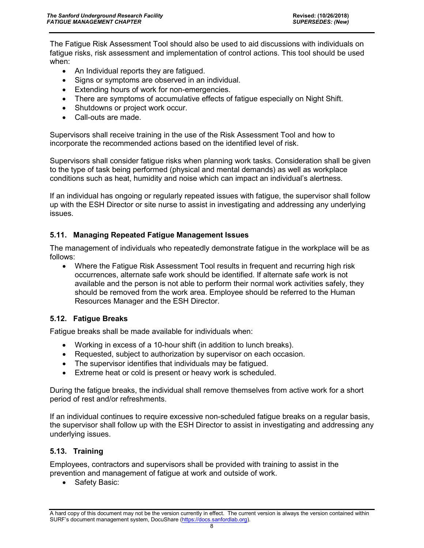The Fatigue Risk Assessment Tool should also be used to aid discussions with individuals on fatigue risks, risk assessment and implementation of control actions. This tool should be used when:

- An Individual reports they are fatigued.
- Signs or symptoms are observed in an individual.
- Extending hours of work for non-emergencies.
- There are symptoms of accumulative effects of fatigue especially on Night Shift.
- Shutdowns or project work occur.
- Call-outs are made.

Supervisors shall receive training in the use of the Risk Assessment Tool and how to incorporate the recommended actions based on the identified level of risk.

Supervisors shall consider fatigue risks when planning work tasks. Consideration shall be given to the type of task being performed (physical and mental demands) as well as workplace conditions such as heat, humidity and noise which can impact an individual's alertness.

If an individual has ongoing or regularly repeated issues with fatigue, the supervisor shall follow up with the ESH Director or site nurse to assist in investigating and addressing any underlying issues.

#### **5.11. Managing Repeated Fatigue Management Issues**

The management of individuals who repeatedly demonstrate fatigue in the workplace will be as follows:

• Where the Fatigue Risk Assessment Tool results in frequent and recurring high risk occurrences, alternate safe work should be identified. If alternate safe work is not available and the person is not able to perform their normal work activities safely, they should be removed from the work area. Employee should be referred to the Human Resources Manager and the ESH Director.

#### **5.12. Fatigue Breaks**

Fatigue breaks shall be made available for individuals when:

- Working in excess of a 10-hour shift (in addition to lunch breaks).
- Requested, subject to authorization by supervisor on each occasion.
- The supervisor identifies that individuals may be fatigued.
- Extreme heat or cold is present or heavy work is scheduled.

During the fatigue breaks, the individual shall remove themselves from active work for a short period of rest and/or refreshments.

If an individual continues to require excessive non-scheduled fatigue breaks on a regular basis, the supervisor shall follow up with the ESH Director to assist in investigating and addressing any underlying issues.

# **5.13. Training**

Employees, contractors and supervisors shall be provided with training to assist in the prevention and management of fatigue at work and outside of work.

• Safety Basic: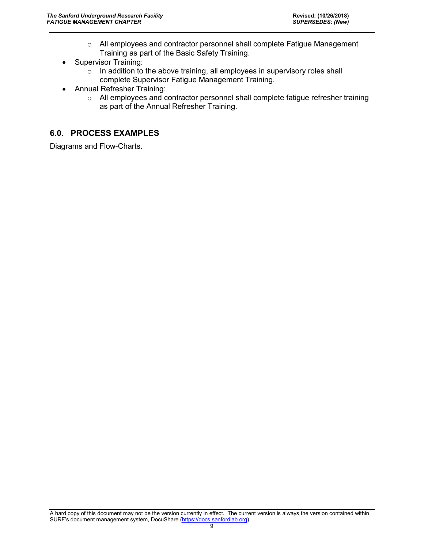- o All employees and contractor personnel shall complete Fatigue Management Training as part of the Basic Safety Training.
- Supervisor Training:
	- $\circ$  In addition to the above training, all employees in supervisory roles shall complete Supervisor Fatigue Management Training.
- Annual Refresher Training:
	- o All employees and contractor personnel shall complete fatigue refresher training as part of the Annual Refresher Training.

# <span id="page-10-0"></span>**6.0. PROCESS EXAMPLES**

Diagrams and Flow-Charts.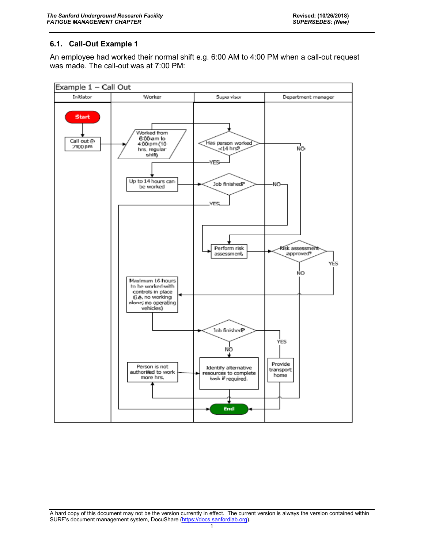# **6.1. Call-Out Example 1**

An employee had worked their normal shift e.g. 6:00 AM to 4:00 PM when a call-out request was made. The call-out was at 7:00 PM:

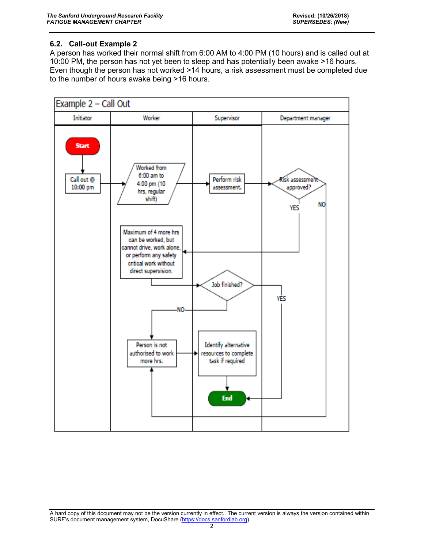# **6.2. Call-out Example 2**

A person has worked their normal shift from 6:00 AM to 4:00 PM (10 hours) and is called out at 10:00 PM, the person has not yet been to sleep and has potentially been awake >16 hours. Even though the person has not worked >14 hours, a risk assessment must be completed due to the number of hours awake being >16 hours.